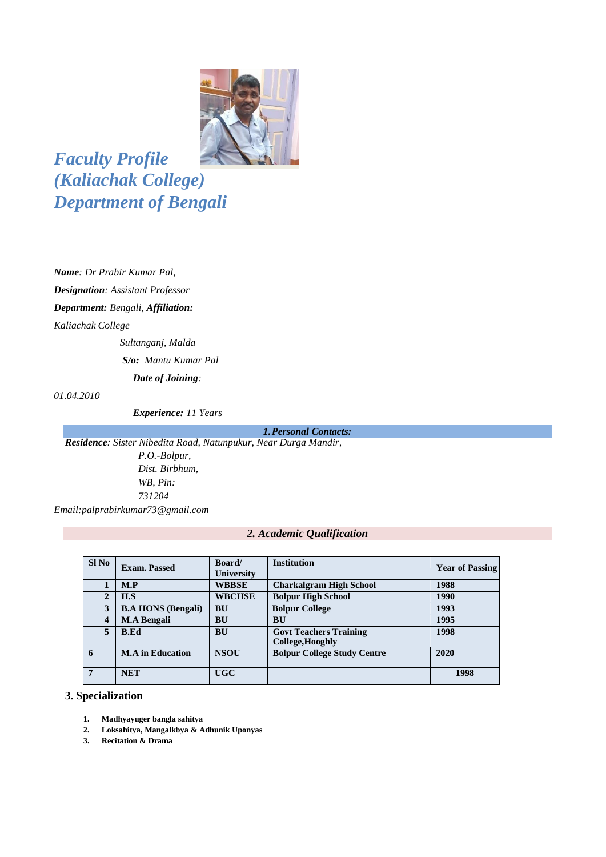

*Faculty Profile (Kaliachak College) Department of Bengali* 

*Name: Dr Prabir Kumar Pal, Designation: Assistant Professor Department: Bengali, Affiliation:* 

*Kaliachak College*

*Sultanganj, Malda S/o: Mantu Kumar Pal Date of Joining:* 

*01.04.2010*

 *Experience: 11 Years*

*1.Personal Contacts:*

*Residence: Sister Nibedita Road, Natunpukur, Near Durga Mandir, P.O.-Bolpur, Dist. Birbhum, WB, Pin: 731204 Email:palprabirkumar73@gmail.com*

#### *2. Academic Qualification*

| $SI$ No                 | <b>Exam. Passed</b>       | <b>Board</b><br>University | <b>Institution</b>                                       | <b>Year of Passing</b> |
|-------------------------|---------------------------|----------------------------|----------------------------------------------------------|------------------------|
|                         | M.P                       | <b>WBBSE</b>               | <b>Charkalgram High School</b>                           | 1988                   |
| $\overline{2}$          | H.S                       | <b>WBCHSE</b>              | <b>Bolpur High School</b>                                | 1990                   |
| 3                       | <b>B.A HONS (Bengali)</b> | <b>BU</b>                  | <b>Bolpur College</b>                                    | 1993                   |
| $\overline{\mathbf{4}}$ | <b>M.A Bengali</b>        | <b>BU</b>                  | <b>BU</b>                                                | 1995                   |
| 5                       | <b>B.Ed</b>               | <b>BU</b>                  | <b>Govt Teachers Training</b><br><b>College, Hooghly</b> | 1998                   |
| 6                       | <b>M.A</b> in Education   | <b>NSOU</b>                | <b>Bolpur College Study Centre</b>                       | 2020                   |
| $\overline{7}$          | <b>NET</b>                | <b>UGC</b>                 |                                                          | 1998                   |

#### **3. Specialization**

- **1. Madhyayuger bangla sahitya**
- **2. Loksahitya, Mangalkbya & Adhunik Uponyas**
- **3. Recitation & Drama**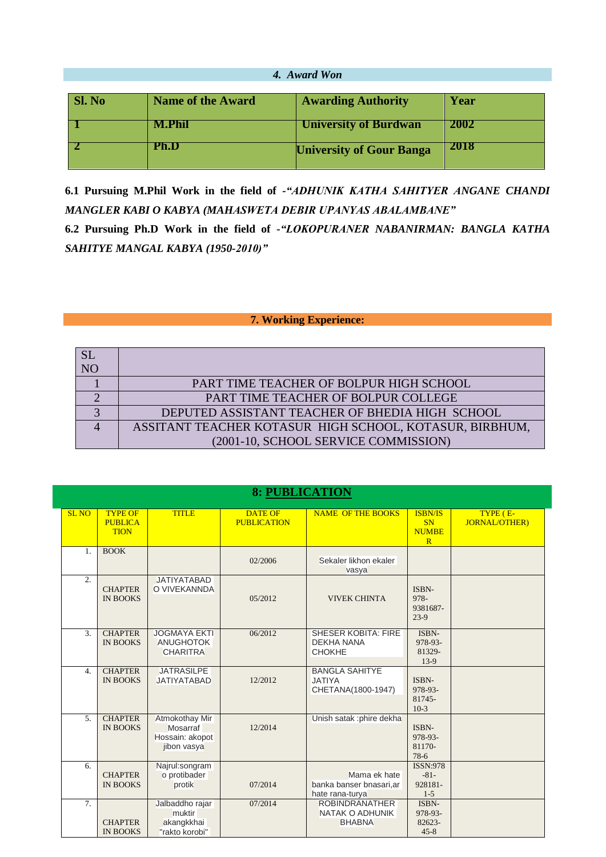|               | 4. Award Won                                                  |                                 |      |  |  |  |  |  |
|---------------|---------------------------------------------------------------|---------------------------------|------|--|--|--|--|--|
| <b>Sl. No</b> | <b>Awarding Authority</b><br><b>Name of the Award</b><br>Year |                                 |      |  |  |  |  |  |
|               | M.Phil                                                        | <b>University of Burdwan</b>    | 2002 |  |  |  |  |  |
|               | Ph.D                                                          | <b>University of Gour Banga</b> | 2018 |  |  |  |  |  |
|               |                                                               |                                 |      |  |  |  |  |  |

**6.1 Pursuing M.Phil Work in the field of** *-"ADHUNIK KATHA SAHITYER ANGANE CHANDI MANGLER KABI O KABYA (MAHASWETA DEBIR UPANYAS ABALAMBANE"*

**6.2 Pursuing Ph.D Work in the field of** *-"LOKOPURANER NABANIRMAN: BANGLA KATHA SAHITYE MANGAL KABYA (1950-2010)"*

## **7. Working Experience:**

| N <sub>O</sub> |                                                         |
|----------------|---------------------------------------------------------|
|                | PART TIME TEACHER OF BOLPUR HIGH SCHOOL                 |
|                | PART TIME TEACHER OF BOLPUR COLLEGE                     |
|                | DEPUTED ASSISTANT TEACHER OF BHEDIA HIGH SCHOOL         |
|                | ASSITANT TEACHER KOTASUR HIGH SCHOOL, KOTASUR, BIRBHUM, |
|                | (2001-10, SCHOOL SERVICE COMMISSION)                    |

|                  | <b>8: PUBLICATION</b>                           |                                                              |                                      |                                                                  |                                                  |                                  |  |  |
|------------------|-------------------------------------------------|--------------------------------------------------------------|--------------------------------------|------------------------------------------------------------------|--------------------------------------------------|----------------------------------|--|--|
| <b>SL NO</b>     | <b>TYPE OF</b><br><b>PUBLICA</b><br><b>TION</b> | <b>TITLE</b>                                                 | <b>DATE OF</b><br><b>PUBLICATION</b> | <b>NAME OF THE BOOKS</b>                                         | <b>ISBN/IS</b><br><b>SN</b><br><b>NUMBE</b><br>R | TYPE (E-<br><b>JORNAL/OTHER)</b> |  |  |
| 1.               | <b>BOOK</b>                                     |                                                              | 02/2006                              | Sekaler likhon ekaler<br>vasya                                   |                                                  |                                  |  |  |
| 2.               | <b>CHAPTER</b><br><b>IN BOOKS</b>               | <b>JATIYATABAD</b><br>O VIVEKANNDA                           | 05/2012                              | <b>VIVEK CHINTA</b>                                              | ISBN-<br>978-<br>9381687-<br>$23-9$              |                                  |  |  |
| 3.               | <b>CHAPTER</b><br><b>IN BOOKS</b>               | <b>JOGMAYA EKTI</b><br><b>ANUGHOTOK</b><br><b>CHARITRA</b>   | 06/2012                              | <b>SHESER KOBITA: FIRE</b><br><b>DEKHA NANA</b><br><b>CHOKHE</b> | ISBN-<br>978-93-<br>81329-<br>$13-9$             |                                  |  |  |
| $\overline{4}$ . | <b>CHAPTER</b><br><b>IN BOOKS</b>               | <b>JATRASILPE</b><br><b>JATIYATABAD</b>                      | 12/2012                              | <b>BANGLA SAHITYE</b><br><b>JATIYA</b><br>CHETANA(1800-1947)     | ISBN-<br>978-93-<br>81745-<br>$10-3$             |                                  |  |  |
| 5.               | <b>CHAPTER</b><br><b>IN BOOKS</b>               | Atmokothay Mir<br>Mosarraf<br>Hossain: akopot<br>jibon vasya | 12/2014                              | Unish satak : phire dekha                                        | ISBN-<br>978-93-<br>81170-<br>78-6               |                                  |  |  |
| 6.               | <b>CHAPTER</b><br><b>IN BOOKS</b>               | Najrul:songram<br>o protibader<br>protik                     | 07/2014                              | Mama ek hate<br>banka banser bnasari,ar<br>hate rana-turya       | <b>ISSN:978</b><br>$-81-$<br>928181-<br>$1-5$    |                                  |  |  |
| 7.               | <b>CHAPTER</b><br><b>IN BOOKS</b>               | Jalbaddho rajar<br>muktir<br>akangkkhai<br>"rakto korobi"    | 07/2014                              | <b>ROBINDRANATHER</b><br>NATAK O ADHUNIK<br><b>BHABNA</b>        | ISBN-<br>978-93-<br>82623-<br>$45 - 8$           |                                  |  |  |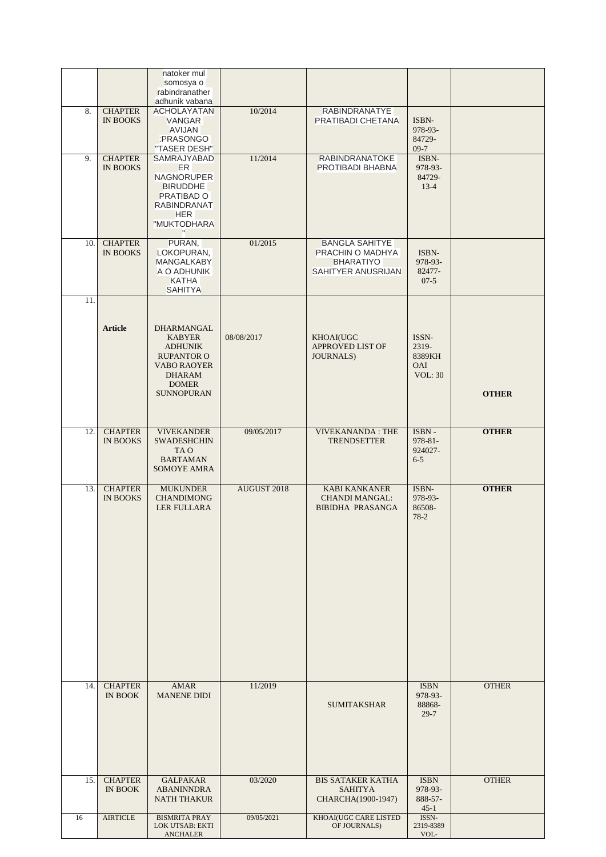|     |                                   | natoker mul                                                                                                                                    |             |                                                                                     |                                                          |              |
|-----|-----------------------------------|------------------------------------------------------------------------------------------------------------------------------------------------|-------------|-------------------------------------------------------------------------------------|----------------------------------------------------------|--------------|
|     |                                   | somosya o<br>rabindranather<br>adhunik vabana                                                                                                  |             |                                                                                     |                                                          |              |
| 8.  | <b>CHAPTER</b><br><b>IN BOOKS</b> | <b>ACHOLAYATAN</b><br><b>VANGAR</b><br><b>AVIJAN</b><br>:PRASONGO<br>"TASER DESH"                                                              | 10/2014     | <b>RABINDRANATYE</b><br>PRATIBADI CHETANA                                           | ISBN-<br>978-93-<br>84729-<br>$09-7$                     |              |
| 9.  | <b>CHAPTER</b><br><b>IN BOOKS</b> | <b>SAMRAJYABAD</b><br><b>ER</b><br><b>NAGNORUPER</b><br><b>BIRUDDHE</b><br>PRATIBAD O<br><b>RABINDRANAT</b><br><b>HER</b><br>"MUKTODHARA       | 11/2014     | <b>RABINDRANATOKE</b><br>PROTIBADI BHABNA                                           | ISBN-<br>978-93-<br>84729-<br>$13-4$                     |              |
| 10. | <b>CHAPTER</b><br><b>IN BOOKS</b> | PURAN,<br>LOKOPURAN,<br><b>MANGALKABY</b><br>A O ADHUNIK<br><b>KATHA</b><br><b>SAHITYA</b>                                                     | 01/2015     | <b>BANGLA SAHITYE</b><br>PRACHIN O MADHYA<br><b>BHARATIYO</b><br>SAHITYER ANUSRIJAN | ISBN-<br>978-93-<br>82477-<br>$07-5$                     |              |
| 11. | <b>Article</b>                    | DHARMANGAL<br><b>KABYER</b><br><b>ADHUNIK</b><br><b>RUPANTOR O</b><br><b>VABO RAOYER</b><br><b>DHARAM</b><br><b>DOMER</b><br><b>SUNNOPURAN</b> | 08/08/2017  | KHOAI(UGC<br><b>APPROVED LIST OF</b><br><b>JOURNALS</b> )                           | ISSN-<br>2319-<br>8389KH<br><b>OAI</b><br><b>VOL: 30</b> | <b>OTHER</b> |
| 12. | <b>CHAPTER</b><br><b>IN BOOKS</b> | <b>VIVEKANDER</b><br><b>SWADESHCHIN</b><br>TA O<br><b>BARTAMAN</b><br><b>SOMOYE AMRA</b>                                                       | 09/05/2017  | <b>VIVEKANANDA: THE</b><br><b>TRENDSETTER</b>                                       | ISBN-<br>$978 - 81 -$<br>924027-<br>$6 - 5$              | <b>OTHER</b> |
| 13. | <b>CHAPTER</b><br><b>IN BOOKS</b> | <b>MUKUNDER</b><br><b>CHANDIMONG</b><br><b>LER FULLARA</b>                                                                                     | AUGUST 2018 | <b>KABI KANKANER</b><br><b>CHANDI MANGAL:</b><br><b>BIBIDHA PRASANGA</b>            | ISBN-<br>978-93-<br>86508-<br>$78-2$                     | <b>OTHER</b> |
| 14. | <b>CHAPTER</b><br><b>IN BOOK</b>  | <b>AMAR</b><br><b>MANENE DIDI</b>                                                                                                              | 11/2019     | <b>SUMITAKSHAR</b>                                                                  | <b>ISBN</b><br>978-93-<br>88868-<br>$29 - 7$             | <b>OTHER</b> |
| 15. | <b>CHAPTER</b><br><b>IN BOOK</b>  | <b>GALPAKAR</b><br><b>ABANINNDRA</b><br><b>NATH THAKUR</b>                                                                                     | 03/2020     | <b>BIS SATAKER KATHA</b><br><b>SAHITYA</b><br>CHARCHA(1900-1947)                    | <b>ISBN</b><br>978-93-<br>888-57-<br>$45-1$              | <b>OTHER</b> |
| 16  | <b>AIRTICLE</b>                   | <b>BISMRITA PRAY</b><br><b>LOK UTSAB: EKTI</b><br><b>ANCHALER</b>                                                                              | 09/05/2021  | KHOAI(UGC CARE LISTED<br>OF JOURNALS)                                               | ISSN-<br>2319-8389<br>VOL-                               |              |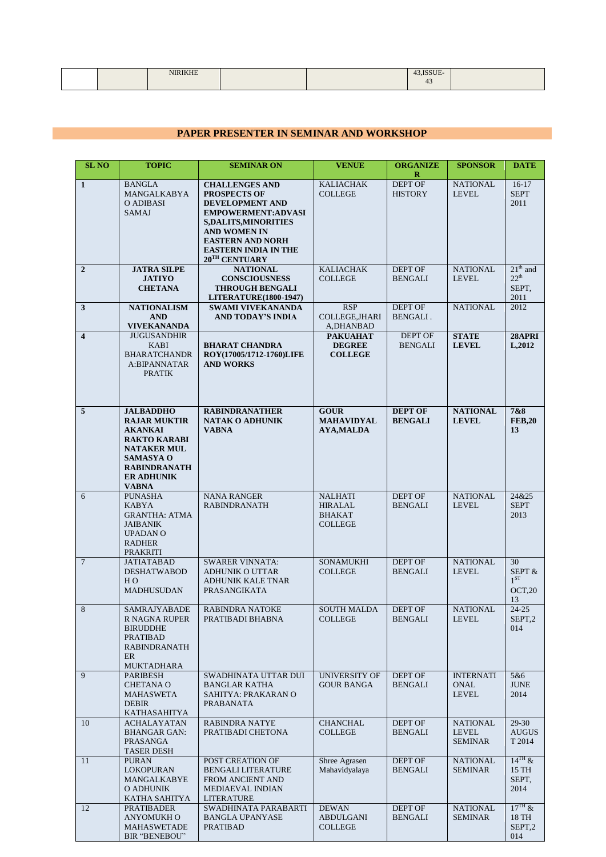| _______ |  | the company of the company of the |  |
|---------|--|-----------------------------------|--|
|         |  |                                   |  |

## **PAPER PRESENTER IN SEMINAR AND WORKSHOP**

| <b>SL NO</b>            | <b>TOPIC</b>                                                                                                                                                                           | <b>SEMINAR ON</b>                                                                                                                                                                                                                        | <b>VENUE</b>                                                 | <b>ORGANIZE</b><br>R             | <b>SPONSOR</b>                                  | <b>DATE</b>                                       |
|-------------------------|----------------------------------------------------------------------------------------------------------------------------------------------------------------------------------------|------------------------------------------------------------------------------------------------------------------------------------------------------------------------------------------------------------------------------------------|--------------------------------------------------------------|----------------------------------|-------------------------------------------------|---------------------------------------------------|
| $\mathbf{1}$            | <b>BANGLA</b><br>MANGALKABYA<br>O ADIBASI<br><b>SAMAJ</b>                                                                                                                              | <b>CHALLENGES AND</b><br><b>PROSPECTS OF</b><br>DEVELOPMENT AND<br><b>EMPOWERMENT:ADVASI</b><br><b>S,DALITS,MINORITIES</b><br><b>AND WOMEN IN</b><br><b>EASTERN AND NORH</b><br><b>EASTERN INDIA IN THE</b><br>$20^{\text{TH}}$ CENTUARY | <b>KALIACHAK</b><br><b>COLLEGE</b>                           | DEPT OF<br><b>HISTORY</b>        | <b>NATIONAL</b><br>LEVEL                        | $16-17$<br><b>SEPT</b><br>2011                    |
| $\overline{2}$          | <b>JATRA SILPE</b><br><b>JATIYO</b><br><b>CHETANA</b>                                                                                                                                  | <b>NATIONAL</b><br><b>CONSCIOUSNESS</b><br><b>THROUGH BENGALI</b><br><b>LITERATURE(1800-1947)</b>                                                                                                                                        | <b>KALIACHAK</b><br><b>COLLEGE</b>                           | DEPT OF<br><b>BENGALI</b>        | <b>NATIONAL</b><br><b>LEVEL</b>                 | $21th$ and<br>$22^{th}$<br>SEPT,<br>2011          |
| 3                       | <b>NATIONALISM</b><br><b>AND</b><br><b>VIVEKANANDA</b>                                                                                                                                 | <b>SWAMI VIVEKANANDA</b><br>AND TODAY'S INDIA                                                                                                                                                                                            | <b>RSP</b><br>COLLEGE, JHARI<br>A, DHANBAD                   | DEPT OF<br>BENGALI.              | NATIONAL                                        | 2012                                              |
| $\overline{\mathbf{4}}$ | <b>JUGUSANDHIR</b><br><b>KABI</b><br><b>BHARATCHANDR</b><br>A:BIPANNATAR<br><b>PRATIK</b>                                                                                              | <b>BHARAT CHANDRA</b><br>ROY(17005/1712-1760)LIFE<br><b>AND WORKS</b>                                                                                                                                                                    | <b>PAKUAHAT</b><br><b>DEGREE</b><br><b>COLLEGE</b>           | <b>DEPT OF</b><br><b>BENGALI</b> | <b>STATE</b><br><b>LEVEL</b>                    | 28APRI<br>L,2012                                  |
| 5                       | <b>JALBADDHO</b><br><b>RAJAR MUKTIR</b><br><b>AKANKAI</b><br><b>RAKTO KARABI</b><br><b>NATAKER MUL</b><br><b>SAMASYA O</b><br><b>RABINDRANATH</b><br><b>ER ADHUNIK</b><br><b>VABNA</b> | <b>RABINDRANATHER</b><br><b>NATAK O ADHUNIK</b><br><b>VABNA</b>                                                                                                                                                                          | <b>GOUR</b><br><b>MAHAVIDYAL</b><br><b>AYA,MALDA</b>         | <b>DEPT OF</b><br><b>BENGALI</b> | <b>NATIONAL</b><br><b>LEVEL</b>                 | 7&8<br><b>FEB,20</b><br>13                        |
| 6                       | <b>PUNASHA</b><br><b>KABYA</b><br><b>GRANTHA: ATMA</b><br><b>JAIBANIK</b><br><b>UPADAN O</b><br><b>RADHER</b><br><b>PRAKRITI</b>                                                       | <b>NANA RANGER</b><br><b>RABINDRANATH</b>                                                                                                                                                                                                | <b>NALHATI</b><br>HIRALAL<br><b>BHAKAT</b><br><b>COLLEGE</b> | <b>DEPT OF</b><br><b>BENGALI</b> | <b>NATIONAL</b><br><b>LEVEL</b>                 | 24&25<br><b>SEPT</b><br>2013                      |
| $\tau$                  | <b>JATIATABAD</b><br><b>DESHATWABOD</b><br>H <sub>O</sub><br>MADHUSUDAN                                                                                                                | <b>SWARER VINNATA:</b><br>ADHUNIK O UTTAR<br><b>ADHUNIK KALE TNAR</b><br>PRASANGIKATA                                                                                                                                                    | <b>SONAMUKHI</b><br><b>COLLEGE</b>                           | <b>DEPT OF</b><br><b>BENGALI</b> | <b>NATIONAL</b><br><b>LEVEL</b>                 | 30<br>SEPT &<br>$1^{ST}$<br>OCT, 20<br>13         |
| 8                       | <b>SAMRAJYABADE</b><br>R NAGNA RUPER<br><b>BIRUDDHE</b><br><b>PRATIBAD</b><br>RABINDRANATH<br>ER<br>MUKTADHARA                                                                         | <b>RABINDRA NATOKE</b><br>PRATIBADI BHABNA                                                                                                                                                                                               | <b>SOUTH MALDA</b><br><b>COLLEGE</b>                         | DEPT OF<br>BENGALI               | <b>NATIONAL</b><br><b>LEVEL</b>                 | $24 - 25$<br>SEPT,2<br>014                        |
| 9                       | <b>PARIBESH</b><br><b>CHETANA O</b><br>MAHASWETA<br><b>DEBIR</b><br>KATHASAHITYA                                                                                                       | SWADHINATA UTTAR DUI<br><b>BANGLAR KATHA</b><br>SAHITYA: PRAKARAN O<br>PRABANATA                                                                                                                                                         | <b>UNIVERSITY OF</b><br><b>GOUR BANGA</b>                    | <b>DEPT OF</b><br><b>BENGALI</b> | <b>INTERNATI</b><br><b>ONAL</b><br><b>LEVEL</b> | 5&6<br><b>JUNE</b><br>2014                        |
| 10                      | <b>ACHALAYATAN</b><br><b>BHANGAR GAN:</b><br><b>PRASANGA</b><br><b>TASER DESH</b>                                                                                                      | <b>RABINDRA NATYE</b><br>PRATIBADI CHETONA                                                                                                                                                                                               | CHANCHAL<br><b>COLLEGE</b>                                   | <b>DEPT OF</b><br><b>BENGALI</b> | <b>NATIONAL</b><br><b>LEVEL</b><br>SEMINAR      | 29-30<br><b>AUGUS</b><br>T 2014                   |
| 11                      | <b>PURAN</b><br>LOKOPURAN<br>MANGALKABYE<br>O ADHUNIK<br>KATHA SAHITYA                                                                                                                 | POST CREATION OF<br><b>BENGALI LITERATURE</b><br>FROM ANCIENT AND<br>MEDIAEVAL INDIAN<br>LITERATURE                                                                                                                                      | Shree Agrasen<br>Mahavidyalaya                               | <b>DEPT OF</b><br><b>BENGALI</b> | <b>NATIONAL</b><br>SEMINAR                      | $14$ <sup>TH</sup> $\&$<br>15 TH<br>SEPT,<br>2014 |
| 12                      | <b>PRATIBADER</b><br>ANYOMUKH O<br>MAHASWETADE<br>BIR "BENEBOU"                                                                                                                        | SWADHINATA PARABARTI<br><b>BANGLA UPANYASE</b><br><b>PRATIBAD</b>                                                                                                                                                                        | <b>DEWAN</b><br><b>ABDULGANI</b><br><b>COLLEGE</b>           | <b>DEPT OF</b><br><b>BENGALI</b> | <b>NATIONAL</b><br><b>SEMINAR</b>               | $17^{\text{TH}}$ &<br>18 TH<br>SEPT,2<br>014      |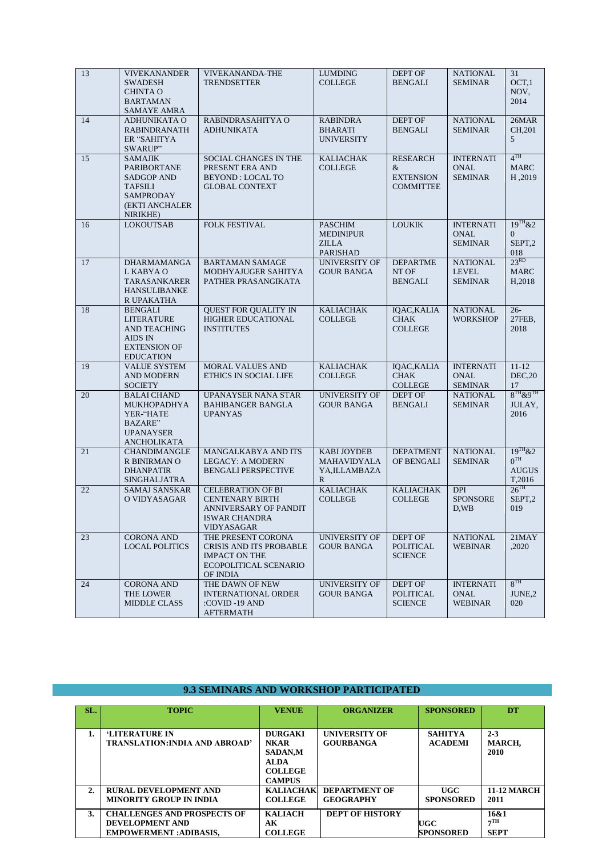| 13 | <b>VIVEKANANDER</b><br><b>SWADESH</b><br><b>CHINTA O</b><br><b>BARTAMAN</b><br>SAMAYE AMRA                             | VIVEKANANDA-THE<br><b>TRENDSETTER</b>                                                                             | <b>LUMDING</b><br><b>COLLEGE</b>                                      | DEPT OF<br><b>BENGALI</b>                                    | <b>NATIONAL</b><br><b>SEMINAR</b>                 | 31<br>OCT <sub>1</sub><br>NOV,<br>2014                    |
|----|------------------------------------------------------------------------------------------------------------------------|-------------------------------------------------------------------------------------------------------------------|-----------------------------------------------------------------------|--------------------------------------------------------------|---------------------------------------------------|-----------------------------------------------------------|
| 14 | ADHUNIKATA O<br><b>RABINDRANATH</b><br>ER "SAHITYA<br>SWARUP"                                                          | RABINDRASAHITYA O<br><b>ADHUNIKATA</b>                                                                            | <b>RABINDRA</b><br><b>BHARATI</b><br><b>UNIVERSITY</b>                | DEPT OF<br><b>BENGALI</b>                                    | <b>NATIONAL</b><br><b>SEMINAR</b>                 | 26MAR<br>CH, 201<br>5                                     |
| 15 | <b>SAMAJIK</b><br>PARIBORTANE<br><b>SADGOP AND</b><br><b>TAFSILI</b><br><b>SAMPRODAY</b><br>(EKTI ANCHALER<br>NIRIKHE) | SOCIAL CHANGES IN THE<br>PRESENT ERA AND<br><b>BEYOND: LOCAL TO</b><br><b>GLOBAL CONTEXT</b>                      | <b>KALIACHAK</b><br><b>COLLEGE</b>                                    | <b>RESEARCH</b><br>&<br><b>EXTENSION</b><br><b>COMMITTEE</b> | <b>INTERNATI</b><br><b>ONAL</b><br><b>SEMINAR</b> | 4 <sup>TH</sup><br><b>MARC</b><br>H,2019                  |
| 16 | <b>LOKOUTSAB</b>                                                                                                       | FOLK FESTIVAL                                                                                                     | <b>PASCHIM</b><br><b>MEDINIPUR</b><br><b>ZILLA</b><br><b>PARISHAD</b> | <b>LOUKIK</b>                                                | <b>INTERNATI</b><br><b>ONAL</b><br><b>SEMINAR</b> | $19^{TH}$ &2<br>$\theta$<br>SEPT,2<br>018                 |
| 17 | <b>DHARMAMANGA</b><br>L KABYA O<br><b>TARASANKARER</b><br><b>HANSULIBANKE</b><br>R UPAKATHA                            | <b>BARTAMAN SAMAGE</b><br>MODHYAJUGER SAHITYA<br>PATHER PRASANGIKATA                                              | <b>UNIVERSITY OF</b><br><b>GOUR BANGA</b>                             | <b>DEPARTME</b><br>NT OF<br><b>BENGALI</b>                   | <b>NATIONAL</b><br><b>LEVEL</b><br><b>SEMINAR</b> | 23 <sup>RD</sup><br><b>MARC</b><br>H <sub>,2018</sub>     |
| 18 | <b>BENGALI</b><br>LITERATURE<br><b>AND TEACHING</b><br><b>AIDS IN</b><br><b>EXTENSION OF</b><br><b>EDUCATION</b>       | <b>QUEST FOR QUALITY IN</b><br><b>HIGHER EDUCATIONAL</b><br><b>INSTITUTES</b>                                     | <b>KALIACHAK</b><br><b>COLLEGE</b>                                    | IQAC, KALIA<br><b>CHAK</b><br><b>COLLEGE</b>                 | <b>NATIONAL</b><br><b>WORKSHOP</b>                | $26 -$<br>27FEB,<br>2018                                  |
| 19 | <b>VALUE SYSTEM</b><br><b>AND MODERN</b><br><b>SOCIETY</b>                                                             | <b>MORAL VALUES AND</b><br>ETHICS IN SOCIAL LIFE                                                                  | <b>KALIACHAK</b><br><b>COLLEGE</b>                                    | IQAC, KALIA<br><b>CHAK</b><br><b>COLLEGE</b>                 | <b>INTERNATI</b><br><b>ONAL</b><br>SEMINAR        | $11 - 12$<br>DEC, 20<br>17                                |
| 20 | <b>BALAI CHAND</b><br>MUKHOPADHYA<br>YER-"HATE<br><b>BAZARE</b> "<br><b>UPANAYSER</b><br>ANCHOLIKATA                   | UPANAYSER NANA STAR<br>BAHIBANGER BANGLA<br><b>UPANYAS</b>                                                        | <b>UNIVERSITY OF</b><br><b>GOUR BANGA</b>                             | DEPT OF<br><b>BENGALI</b>                                    | NATIONAL<br><b>SEMINAR</b>                        | $8^{TH}$ & $9^{TH}$<br>JULAY,<br>2016                     |
| 21 | CHANDIMANGLE<br>R BINIRMAN O<br><b>DHANPATIR</b><br>SINGHALJATRA                                                       | MANGALKABYA AND ITS<br><b>LEGACY: A MODERN</b><br><b>BENGALI PERSPECTIVE</b>                                      | <b>KABI JOYDEB</b><br><b>MAHAVIDYALA</b><br>YA,ILLAMBAZA<br>R         | <b>DEPATMENT</b><br>OF BENGALI                               | <b>NATIONAL</b><br>SEMINAR                        | $19^{TH}$ &2<br>0 <sup>TH</sup><br><b>AUGUS</b><br>T,2016 |
| 22 | SAMAJ SANSKAR<br>O VIDYASAGAR                                                                                          | <b>CELEBRATION OF BI</b><br><b>CENTENARY BIRTH</b><br>ANNIVERSARY OF PANDIT<br><b>ISWAR CHANDRA</b><br>VIDYASAGAR | <b>KALIACHAK</b><br><b>COLLEGE</b>                                    | <b>KALIACHAK</b><br><b>COLLEGE</b>                           | <b>DPI</b><br><b>SPONSORE</b><br>D,WB             | $26^{\text{TH}}$<br>SEPT,2<br>019                         |
| 23 | <b>CORONA AND</b><br><b>LOCAL POLITICS</b>                                                                             | THE PRESENT CORONA<br>CRISIS AND ITS PROBABLE<br><b>IMPACT ON THE</b><br>ECOPOLITICAL SCENARIO<br>OF INDIA        | <b>UNIVERSITY OF</b><br>GOUR BANGA                                    | DEPT OF<br><b>POLITICAL</b><br><b>SCIENCE</b>                | NATIONAL<br>WEBINAR                               | $21$ MAY<br>,2020                                         |
| 24 | <b>CORONA AND</b><br>THE LOWER<br><b>MIDDLE CLASS</b>                                                                  | THE DAWN OF NEW<br><b>INTERNATIONAL ORDER</b><br>:COVID-19 AND<br>AFTERMATH                                       | UNIVERSITY OF<br>GOUR BANGA                                           | DEPT OF<br>POLITICAL<br><b>SCIENCE</b>                       | <b>INTERNATI</b><br>ONAL<br><b>WEBINAR</b>        | $8^{TH}$<br>JUNE,2<br>020                                 |

## **9.3 SEMINARS AND WORKSHOP PARTICIPATED**

| SL. | <b>TOPIC</b>                          | <b>VENUE</b>     | <b>ORGANIZER</b>       | <b>SPONSORED</b> | DT                 |
|-----|---------------------------------------|------------------|------------------------|------------------|--------------------|
|     |                                       |                  |                        |                  |                    |
|     | <b>'LITERATURE IN</b>                 | <b>DURGAKI</b>   | <b>UNIVERSITY OF</b>   | <b>SAHITYA</b>   | $2 - 3$            |
|     | <b>TRANSLATION: INDIA AND ABROAD'</b> | <b>NKAR</b>      | <b>GOURBANGA</b>       | <b>ACADEMI</b>   | MARCH,             |
|     |                                       | <b>SADAN,M</b>   |                        |                  | 2010               |
|     |                                       | <b>ALDA</b>      |                        |                  |                    |
|     |                                       | <b>COLLEGE</b>   |                        |                  |                    |
|     |                                       | <b>CAMPUS</b>    |                        |                  |                    |
| 2.  | <b>RURAL DEVELOPMENT AND</b>          | <b>KALIACHAK</b> | <b>DEPARTMENT OF</b>   | UGC              | <b>11-12 MARCH</b> |
|     | <b>MINORITY GROUP IN INDIA</b>        | <b>COLLEGE</b>   | <b>GEOGRAPHY</b>       | <b>SPONSORED</b> | 2011               |
| 3.  | <b>CHALLENGES AND PROSPECTS OF</b>    | <b>KALIACH</b>   | <b>DEPT OF HISTORY</b> |                  | 16&1               |
|     | DEVELOPMENT AND                       | AК               |                        | <b>UGC</b>       | 7 <sup>TH</sup>    |
|     | <b>EMPOWERMENT:ADIBASIS.</b>          | <b>COLLEGE</b>   |                        | <b>SPONSORED</b> | <b>SEPT</b>        |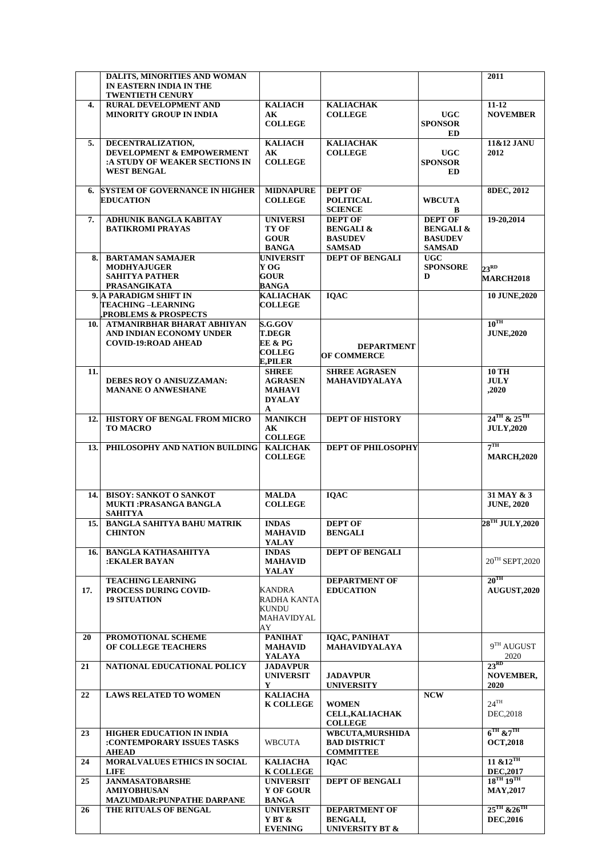|      | DALITS, MINORITIES AND WOMAN                          |                                          |                                      |                              | 2011                                    |
|------|-------------------------------------------------------|------------------------------------------|--------------------------------------|------------------------------|-----------------------------------------|
|      | IN EASTERN INDIA IN THE                               |                                          |                                      |                              |                                         |
|      | <b>TWENTIETH CENURY</b>                               |                                          |                                      |                              |                                         |
| 4.   | <b>RURAL DEVELOPMENT AND</b>                          | <b>KALIACH</b>                           | <b>KALIACHAK</b>                     |                              | $11 - 12$                               |
|      | <b>MINORITY GROUP IN INDIA</b>                        | $\mathbf{A}\mathbf{K}$<br><b>COLLEGE</b> | <b>COLLEGE</b>                       | <b>UGC</b><br><b>SPONSOR</b> | <b>NOVEMBER</b>                         |
|      |                                                       |                                          |                                      | ED                           |                                         |
| 5.   | DECENTRALIZATION,                                     | <b>KALIACH</b>                           | <b>KALIACHAK</b>                     |                              | 11&12 JANU                              |
|      | <b>DEVELOPMENT &amp; EMPOWERMENT</b>                  | AК                                       | <b>COLLEGE</b>                       | <b>UGC</b>                   | 2012                                    |
|      | :A STUDY OF WEAKER SECTIONS IN                        | <b>COLLEGE</b>                           |                                      | <b>SPONSOR</b>               |                                         |
|      | <b>WEST BENGAL</b>                                    |                                          |                                      | <b>ED</b>                    |                                         |
|      |                                                       |                                          |                                      |                              |                                         |
| 6.   | <b>SYSTEM OF GOVERNANCE IN HIGHER</b>                 | <b>MIDNAPURE</b>                         | <b>DEPT OF</b>                       |                              | <b>8DEC, 2012</b>                       |
|      | <b>EDUCATION</b>                                      | <b>COLLEGE</b>                           | <b>POLITICAL</b>                     | <b>WBCUTA</b>                |                                         |
| 7.   | <b>ADHUNIK BANGLA KABITAY</b>                         | <b>UNIVERSI</b>                          | <b>SCIENCE</b><br><b>DEPT OF</b>     | B<br><b>DEPT OF</b>          | 19-20,2014                              |
|      | <b>BATIKROMI PRAYAS</b>                               | TY OF                                    | <b>BENGALI &amp;</b>                 | <b>BENGALI &amp;</b>         |                                         |
|      |                                                       | <b>GOUR</b>                              | <b>BASUDEV</b>                       | <b>BASUDEV</b>               |                                         |
|      |                                                       | <b>BANGA</b>                             | <b>SAMSAD</b>                        | <b>SAMSAD</b>                |                                         |
| 8.   | <b>BARTAMAN SAMAJER</b>                               | <b>UNIVERSIT</b>                         | <b>DEPT OF BENGALI</b>               | <b>UGC</b>                   |                                         |
|      | <b>MODHYAJUGER</b>                                    | Y OG                                     |                                      | <b>SPONSORE</b>              | $23^{RD}$                               |
|      | <b>SAHITYA PATHER</b>                                 | GOUR                                     |                                      | D                            | <b>MARCH2018</b>                        |
|      | <b>PRASANGIKATA</b>                                   | BANGA                                    |                                      |                              |                                         |
|      | 9. A PARADIGM SHIFT IN<br>TEACHING –LEARNING          | <b>KALIACHAK</b><br><b>COLLEGE</b>       | <b>IQAC</b>                          |                              | 10 JUNE, 2020                           |
|      | PROBLEMS & PROSPECTS                                  |                                          |                                      |                              |                                         |
| 10.I | ATMANIRBHAR BHARAT ABHIYAN                            | <b>S.G.GOV</b>                           |                                      |                              | $10^{TH}$                               |
|      | AND INDIAN ECONOMY UNDER                              | <b>T.DEGR</b>                            |                                      |                              | <b>JUNE,2020</b>                        |
|      | <b>COVID-19:ROAD AHEAD</b>                            | EE & PG                                  | <b>DEPARTMENT</b>                    |                              |                                         |
|      |                                                       | <b>COLLEG</b>                            | <b>OF COMMERCE</b>                   |                              |                                         |
|      |                                                       | E,PILER                                  |                                      |                              |                                         |
| 11.  |                                                       | <b>SHREE</b>                             | <b>SHREE AGRASEN</b>                 |                              | <b>10 TH</b>                            |
|      | DEBES ROY O ANISUZZAMAN:<br><b>MANANE O ANWESHANE</b> | <b>AGRASEN</b><br><b>MAHAVI</b>          | MAHAVIDYALAYA                        |                              | <b>JULY</b><br>,2020                    |
|      |                                                       | <b>DYALAY</b>                            |                                      |                              |                                         |
|      |                                                       | A                                        |                                      |                              |                                         |
| 12.  | HISTORY OF BENGAL FROM MICRO                          | <b>MANIKCH</b>                           | <b>DEPT OF HISTORY</b>               |                              | $24$ <sup>TH</sup> & $25$ <sup>TH</sup> |
|      | <b>TO MACRO</b>                                       | $\bf{AK}$                                |                                      |                              | <b>JULY,2020</b>                        |
|      |                                                       | <b>COLLEGE</b>                           |                                      |                              |                                         |
| 13.  | PHILOSOPHY AND NATION BUILDING                        | <b>KALICHAK</b>                          | <b>DEPT OF PHILOSOPHY</b>            |                              | $7^{\rm TH}$                            |
|      |                                                       | <b>COLLEGE</b>                           |                                      |                              | <b>MARCH,2020</b>                       |
|      |                                                       |                                          |                                      |                              |                                         |
|      |                                                       |                                          |                                      |                              |                                         |
| 14.  | <b>BISOY: SANKOT O SANKOT</b>                         | <b>MALDA</b>                             | <b>IQAC</b>                          |                              | 31 MAY & 3                              |
|      | <b>MUKTI:PRASANGA BANGLA</b>                          | <b>COLLEGE</b>                           |                                      |                              | <b>JUNE, 2020</b>                       |
|      | <b>SAHITYA</b>                                        |                                          |                                      |                              |                                         |
| 15.1 | <b>BANGLA SAHITYA BAHU MATRIK</b><br><b>CHINTON</b>   | <b>INDAS</b><br><b>MAHAVID</b>           | <b>DEPT OF</b><br><b>BENGALI</b>     |                              | $28^{\mathrm{TH}}$ JULY, 2020           |
|      |                                                       | YALAY                                    |                                      |                              |                                         |
| 16.  | <b>BANGLA KATHASAHITYA</b>                            | <b>INDAS</b>                             | <b>DEPT OF BENGALI</b>               |                              |                                         |
|      | :EKALER BAYAN                                         | <b>MAHAVID</b>                           |                                      |                              | $20^{TH}$ SEPT, 2020                    |
|      |                                                       | YALAY                                    |                                      |                              |                                         |
|      | <b>TEACHING LEARNING</b>                              |                                          | <b>DEPARTMENT OF</b>                 |                              | $20^{\text{TH}}$                        |
| 17.  | PROCESS DURING COVID-                                 | KANDRA                                   | <b>EDUCATION</b>                     |                              | <b>AUGUST,2020</b>                      |
|      | <b>19 SITUATION</b>                                   | RADHA KANTA                              |                                      |                              |                                         |
|      |                                                       | KUNDU<br>MAHAVIDYAL                      |                                      |                              |                                         |
|      |                                                       | AY                                       |                                      |                              |                                         |
| 20   | PROMOTIONAL SCHEME                                    | <b>PANIHAT</b>                           | <b>IQAC, PANIHAT</b>                 |                              |                                         |
|      | OF COLLEGE TEACHERS                                   | <b>MAHAVID</b>                           | <b>MAHAVIDYALAYA</b>                 |                              | $9TH$ AUGUST                            |
|      |                                                       | YALAYA                                   |                                      |                              | 2020                                    |
| 21   | NATIONAL EDUCATIONAL POLICY                           | <b>JADAVPUR</b>                          |                                      |                              | $23^{RD}$                               |
|      |                                                       | <b>UNIVERSIT</b><br>Y                    | <b>JADAVPUR</b><br><b>UNIVERSITY</b> |                              | <b>NOVEMBER,</b><br>2020                |
| 22   | <b>LAWS RELATED TO WOMEN</b>                          | <b>KALIACHA</b>                          |                                      | <b>NCW</b>                   |                                         |
|      |                                                       | <b>K COLLEGE</b>                         | <b>WOMEN</b>                         |                              | $24$ <sup>TH</sup>                      |
|      |                                                       |                                          | <b>CELL, KALIACHAK</b>               |                              | DEC, 2018                               |
|      |                                                       |                                          | <b>COLLEGE</b>                       |                              |                                         |
| 23   | <b>HIGHER EDUCATION IN INDIA</b>                      |                                          | WBCUTA, MURSHIDA                     |                              | $6^{\text{TH}}$ & $7^{\text{TH}}$       |
|      | :CONTEMPORARY ISSUES TASKS                            | <b>WBCUTA</b>                            | <b>BAD DISTRICT</b>                  |                              | <b>OCT,2018</b>                         |
|      | <b>AHEAD</b>                                          |                                          | <b>COMMITTEE</b>                     |                              | $11 \& 12$ <sup>TH</sup>                |
| 24   | <b>MORALVALUES ETHICS IN SOCIAL</b><br><b>LIFE</b>    | <b>KALIACHA</b><br><b>K COLLEGE</b>      | <b>IQAC</b>                          |                              | <b>DEC,2017</b>                         |
| 25   | <b>JANMASATOBARSHE</b>                                | <b>UNIVERSIT</b>                         | <b>DEPT OF BENGALI</b>               |                              | $18^{TH} 19^{TH}$                       |
|      | <b>AMIYOBHUSAN</b>                                    | <b>Y OF GOUR</b>                         |                                      |                              | <b>MAY,2017</b>                         |
|      | <b>MAZUMDAR:PUNPATHE DARPANE</b>                      | <b>BANGA</b>                             |                                      |                              |                                         |
| 26   | THE RITUALS OF BENGAL                                 | <b>UNIVERSIT</b>                         | <b>DEPARTMENT OF</b>                 |                              | $25^{TH}$ & $26^{TH}$                   |
|      |                                                       | Y BT &                                   | <b>BENGALI,</b>                      |                              | <b>DEC,2016</b>                         |
|      |                                                       | <b>EVENING</b>                           | <b>UNIVERSITY BT &amp;</b>           |                              |                                         |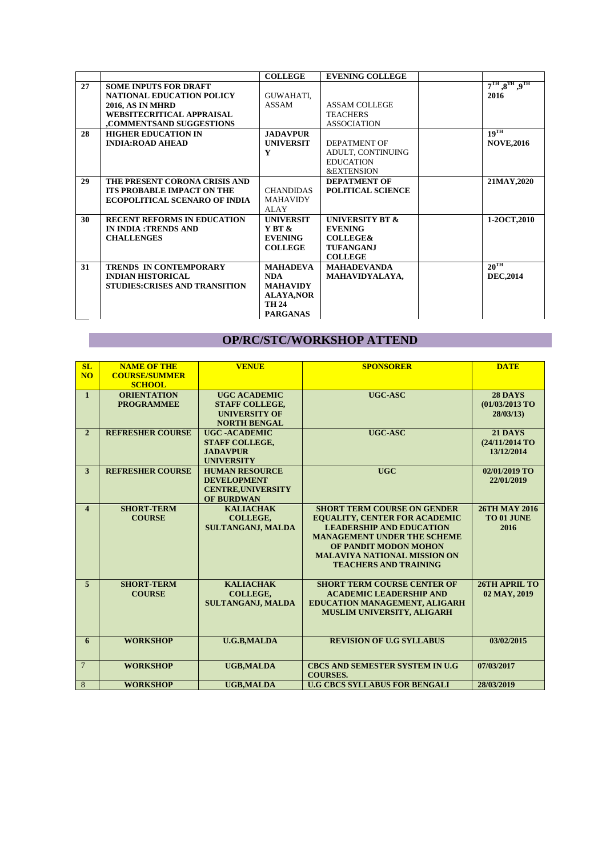|    |                                       | <b>COLLEGE</b>    | <b>EVENING COLLEGE</b>     |                                                     |
|----|---------------------------------------|-------------------|----------------------------|-----------------------------------------------------|
| 27 | <b>SOME INPUTS FOR DRAFT</b>          |                   |                            | $7^{\text{TH}}$ , $8^{\text{TH}}$ , $9^{\text{TH}}$ |
|    | <b>NATIONAL EDUCATION POLICY</b>      | GUWAHATI,         |                            | 2016                                                |
|    | <b>2016, AS IN MHRD</b>               | ASSAM             | <b>ASSAM COLLEGE</b>       |                                                     |
|    | WEBSITECRITICAL APPRAISAL             |                   | <b>TEACHERS</b>            |                                                     |
|    | ,COMMENTSAND SUGGESTIONS              |                   | <b>ASSOCIATION</b>         |                                                     |
| 28 | <b>HIGHER EDUCATION IN</b>            | <b>JADAVPUR</b>   |                            | $19$ <sup>TH</sup>                                  |
|    | <b>INDIA:ROAD AHEAD</b>               | <b>UNIVERSIT</b>  | <b>DEPATMENT OF</b>        | <b>NOVE,2016</b>                                    |
|    |                                       | Y                 | ADULT, CONTINUING          |                                                     |
|    |                                       |                   | <b>EDUCATION</b>           |                                                     |
|    |                                       |                   | <b>&amp;EXTENSION</b>      |                                                     |
| 29 | THE PRESENT CORONA CRISIS AND         |                   | <b>DEPATMENT OF</b>        | 21MAY, 2020                                         |
|    | <b>ITS PROBABLE IMPACT ON THE</b>     | <b>CHANDIDAS</b>  | <b>POLITICAL SCIENCE</b>   |                                                     |
|    | <b>ECOPOLITICAL SCENARO OF INDIA</b>  | <b>MAHAVIDY</b>   |                            |                                                     |
|    |                                       | ALAY              |                            |                                                     |
| 30 | <b>RECENT REFORMS IN EDUCATION</b>    | <b>INIVERSIT</b>  | <b>UNIVERSITY BT &amp;</b> | 1-20CT, 2010                                        |
|    | <b>IN INDIA: TRENDS AND</b>           | YBT &             | <b>EVENING</b>             |                                                     |
|    | <b>CHALLENGES</b>                     | <b>EVENING</b>    | <b>COLLEGE&amp;</b>        |                                                     |
|    |                                       | <b>COLLEGE</b>    | <b>TUFANGANJ</b>           |                                                     |
|    |                                       |                   | <b>COLLEGE</b>             |                                                     |
| 31 | TRENDS IN CONTEMPORARY                | <b>MAHADEVA</b>   | <b>MAHADEVANDA</b>         | $20^{\text{TH}}$                                    |
|    | <b>INDIAN HISTORICAL</b>              | <b>NDA</b>        | MAHAVIDYALAYA,             | <b>DEC,2014</b>                                     |
|    | <b>STUDIES: CRISES AND TRANSITION</b> | <b>MAHAVIDY</b>   |                            |                                                     |
|    |                                       | <b>ALAYA, NOR</b> |                            |                                                     |
|    |                                       | <b>TH 24</b>      |                            |                                                     |
|    |                                       | <b>PARGANAS</b>   |                            |                                                     |

## **OP/RC/STC/WORKSHOP ATTEND**

| SL                      | <b>NAME OF THE</b>      | <b>VENUE</b>              | <b>SPONSORER</b>                       | <b>DATE</b>          |
|-------------------------|-------------------------|---------------------------|----------------------------------------|----------------------|
| <b>NO</b>               | <b>COURSE/SUMMER</b>    |                           |                                        |                      |
|                         | <b>SCHOOL</b>           |                           |                                        |                      |
| $\mathbf{1}$            | <b>ORIENTATION</b>      | <b>UGC ACADEMIC</b>       | UGC-ASC                                | <b>28 DAYS</b>       |
|                         | <b>PROGRAMMEE</b>       | <b>STAFF COLLEGE,</b>     |                                        | (01/03/2013 TO       |
|                         |                         | <b>UNIVERSITY OF</b>      |                                        | 28/03/13             |
|                         |                         | <b>NORTH BENGAL</b>       |                                        |                      |
| $\overline{2}$          | <b>REFRESHER COURSE</b> | <b>UGC-ACADEMIC</b>       | UGC-ASC                                | <b>21 DAYS</b>       |
|                         |                         | <b>STAFF COLLEGE.</b>     |                                        | (24/11/2014 TO       |
|                         |                         | <b>JADAVPUR</b>           |                                        | 13/12/2014           |
|                         |                         |                           |                                        |                      |
|                         |                         | <b>UNIVERSITY</b>         |                                        |                      |
| 3                       | <b>REFRESHER COURSE</b> | <b>HUMAN RESOURCE</b>     | <b>UGC</b>                             | 02/01/2019 TO        |
|                         |                         | <b>DEVELOPMENT</b>        |                                        | 22/01/2019           |
|                         |                         | <b>CENTRE, UNIVERSITY</b> |                                        |                      |
|                         |                         | <b>OF BURDWAN</b>         |                                        |                      |
| $\overline{\mathbf{4}}$ | <b>SHORT-TERM</b>       | <b>KALIACHAK</b>          | <b>SHORT TERM COURSE ON GENDER</b>     | <b>26TH MAY 2016</b> |
|                         | <b>COURSE</b>           | COLLEGE,                  | <b>EQUALITY, CENTER FOR ACADEMIC</b>   | TO 01 JUNE           |
|                         |                         | <b>SULTANGANJ, MALDA</b>  | <b>LEADERSHIP AND EDUCATION</b>        | 2016                 |
|                         |                         |                           | <b>MANAGEMENT UNDER THE SCHEME</b>     |                      |
|                         |                         |                           | OF PANDIT MODON MOHON                  |                      |
|                         |                         |                           | <b>MALAVIYA NATIONAL MISSION ON</b>    |                      |
|                         |                         |                           | <b>TEACHERS AND TRAINING</b>           |                      |
|                         |                         |                           |                                        |                      |
| $\overline{5}$          | <b>SHORT-TERM</b>       | <b>KALIACHAK</b>          | <b>SHORT TERM COURSE CENTER OF</b>     | 26TH APRIL TO        |
|                         | <b>COURSE</b>           | <b>COLLEGE,</b>           | <b>ACADEMIC LEADERSHIP AND</b>         | 02 MAY, 2019         |
|                         |                         | <b>SULTANGANJ, MALDA</b>  | <b>EDUCATION MANAGEMENT, ALIGARH</b>   |                      |
|                         |                         |                           | <b>MUSLIM UNIVERSITY, ALIGARH</b>      |                      |
|                         |                         |                           |                                        |                      |
|                         |                         |                           |                                        |                      |
| 6                       | <b>WORKSHOP</b>         | <b>U.G.B,MALDA</b>        | <b>REVISION OF U.G SYLLABUS</b>        | 03/02/2015           |
|                         |                         |                           |                                        |                      |
|                         |                         |                           |                                        |                      |
| $7\overline{ }$         | <b>WORKSHOP</b>         | <b>UGB,MALDA</b>          | <b>CBCS AND SEMESTER SYSTEM IN U.G</b> | 07/03/2017           |
|                         |                         |                           | <b>COURSES.</b>                        |                      |
| 8                       | <b>WORKSHOP</b>         | <b>UGB.MALDA</b>          | <b>U.G CBCS SYLLABUS FOR BENGALI</b>   | 28/03/2019           |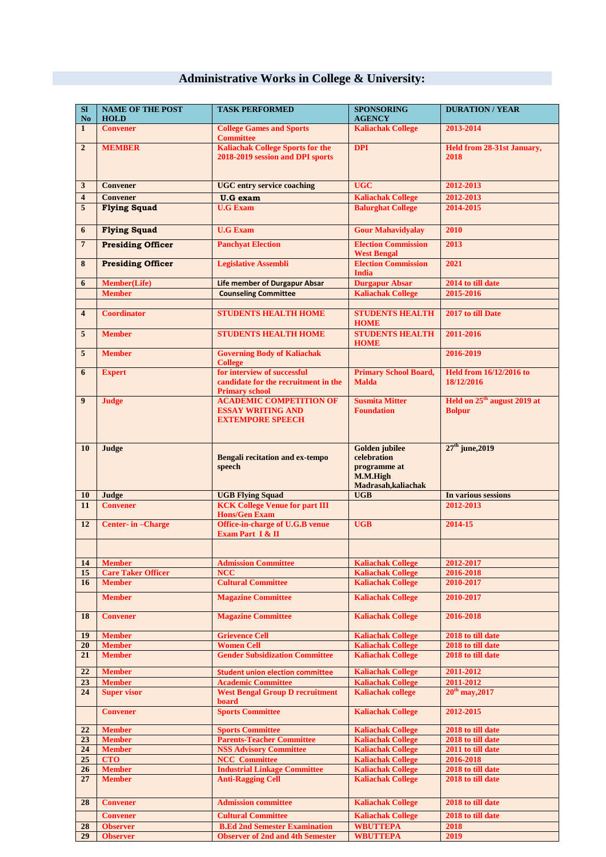# **Administrative Works in College & University:**

| SI<br>No.               | <b>NAME OF THE POST</b><br><b>HOLD</b>     | <b>TASK PERFORMED</b>                                                                 | <b>SPONSORING</b><br><b>AGENCY</b>                                                      | <b>DURATION / YEAR</b>                                   |
|-------------------------|--------------------------------------------|---------------------------------------------------------------------------------------|-----------------------------------------------------------------------------------------|----------------------------------------------------------|
| $\mathbf{1}$            | <b>Convener</b>                            | <b>College Games and Sports</b><br><b>Committee</b>                                   | <b>Kaliachak College</b>                                                                | 2013-2014                                                |
| $\overline{2}$          | <b>MEMBER</b>                              | <b>Kaliachak College Sports for the</b><br>2018-2019 session and DPI sports           | <b>DPI</b>                                                                              | Held from 28-31st January,<br>2018                       |
| 3                       | <b>Convener</b>                            | <b>UGC</b> entry service coaching                                                     | <b>UGC</b>                                                                              | 2012-2013                                                |
| 4                       | <b>Convener</b>                            | <b>U.G</b> exam                                                                       | <b>Kaliachak College</b>                                                                | 2012-2013                                                |
| 5                       | <b>Flying Squad</b>                        | <b>U.G Exam</b>                                                                       | <b>Balurghat College</b>                                                                | 2014-2015                                                |
| 6                       | <b>Flying Squad</b>                        | <b>U.G Exam</b>                                                                       | <b>Gour Mahavidyalay</b>                                                                | 2010                                                     |
| $\overline{7}$          | <b>Presiding Officer</b>                   | <b>Panchyat Election</b>                                                              | <b>Election Commission</b><br><b>West Bengal</b>                                        | 2013                                                     |
| 8                       | <b>Presiding Officer</b>                   | <b>Legislative Assembli</b>                                                           | <b>Election Commission</b><br><b>India</b>                                              | 2021                                                     |
| 6                       | Member(Life)<br><b>Member</b>              | <b>Life member of Durgapur Absar</b>                                                  | <b>Durgapur Absar</b><br><b>Kaliachak College</b>                                       | 2014 to till date<br>2015-2016                           |
|                         |                                            | <b>Counseling Committee</b>                                                           |                                                                                         |                                                          |
| $\overline{\mathbf{4}}$ | <b>Coordinator</b>                         | <b>STUDENTS HEALTH HOME</b>                                                           | <b>STUDENTS HEALTH</b><br><b>HOME</b>                                                   | 2017 to till Date                                        |
| 5                       | <b>Member</b>                              | <b>STUDENTS HEALTH HOME</b>                                                           | <b>STUDENTS HEALTH</b><br><b>HOME</b>                                                   | 2011-2016                                                |
| 5                       | <b>Member</b>                              | <b>Governing Body of Kaliachak</b><br><b>College</b><br>for interview of successful   |                                                                                         | 2016-2019                                                |
| 6                       | <b>Expert</b>                              | candidate for the recruitment in the<br><b>Primary school</b>                         | <b>Primary School Board,</b><br><b>Malda</b>                                            | <b>Held from 16/12/2016 to</b><br>18/12/2016             |
| $\boldsymbol{9}$        | <b>Judge</b>                               | <b>ACADEMIC COMPETITION OF</b><br><b>ESSAY WRITING AND</b><br><b>EXTEMPORE SPEECH</b> | <b>Susmita Mitter</b><br><b>Foundation</b>                                              | Held on 25 <sup>th</sup> august 2019 at<br><b>Bolpur</b> |
| 10                      | Judge                                      | <b>Bengali recitation and ex-tempo</b><br>speech                                      | <b>Golden</b> jubilee<br>celebration<br>programme at<br>M.M.High<br>Madrasah, kaliachak | $27th$ june, 2019                                        |
| 10                      | Judge                                      | <b>UGB Flying Squad</b>                                                               | $\overline{UGB}$                                                                        | In various sessions                                      |
| 11                      | <b>Convener</b>                            | <b>KCK College Venue for part III</b><br><b>Hons/Gen Exam</b>                         |                                                                                         | 2012-2013                                                |
| 12                      | Center-in-Charge                           | Office-in-charge of U.G.B venue<br>Exam Part I & II                                   | <b>UGB</b>                                                                              | 2014-15                                                  |
|                         |                                            |                                                                                       |                                                                                         |                                                          |
| 14                      | <b>Member</b>                              | <b>Admission Committee</b>                                                            | <b>Kaliachak College</b>                                                                | 2012-2017                                                |
| 15<br>16                | <b>Care Taker Officer</b><br><b>Member</b> | <b>NCC</b><br><b>Cultural Committee</b>                                               | <b>Kaliachak College</b><br><b>Kaliachak College</b>                                    | 2016-2018<br>2010-2017                                   |
|                         | <b>Member</b>                              | <b>Magazine Committee</b>                                                             | <b>Kaliachak College</b>                                                                | 2010-2017                                                |
| 18                      | <b>Convener</b>                            | <b>Magazine Committee</b>                                                             | <b>Kaliachak College</b>                                                                | 2016-2018                                                |
| 19                      | <b>Member</b>                              | <b>Grievence Cell</b>                                                                 | <b>Kaliachak College</b>                                                                | 2018 to till date                                        |
| 20                      | <b>Member</b>                              | <b>Women Cell</b>                                                                     | <b>Kaliachak College</b>                                                                | 2018 to till date                                        |
| 21                      | <b>Member</b>                              | <b>Gender Subsidization Committee</b>                                                 | <b>Kaliachak College</b>                                                                | 2018 to till date                                        |
| 22                      | <b>Member</b>                              | <b>Student union election committee</b>                                               | <b>Kaliachak College</b>                                                                | 2011-2012                                                |
| 23<br>24                | <b>Member</b><br><b>Super visor</b>        | <b>Academic Committee</b><br><b>West Bengal Group D recruitment</b>                   | <b>Kaliachak College</b><br><b>Kaliachak college</b>                                    | 2011-2012<br>$20^{th}$ may, 2017                         |
|                         | <b>Convener</b>                            | board<br><b>Sports Committee</b>                                                      | <b>Kaliachak College</b>                                                                | 2012-2015                                                |
|                         |                                            |                                                                                       |                                                                                         |                                                          |
| 22                      | <b>Member</b>                              | <b>Sports Committee</b>                                                               | <b>Kaliachak College</b>                                                                | 2018 to till date                                        |
| 23<br>24                | <b>Member</b><br><b>Member</b>             | <b>Parents-Teacher Committee</b><br><b>NSS Advisory Committee</b>                     | <b>Kaliachak College</b><br><b>Kaliachak College</b>                                    | 2018 to till date<br>2011 to till date                   |
| 25                      | <b>CTO</b>                                 | <b>NCC</b> Committee                                                                  | <b>Kaliachak College</b>                                                                | 2016-2018                                                |
| 26                      | <b>Member</b>                              | <b>Industrial Linkage Committee</b>                                                   | <b>Kaliachak College</b>                                                                | 2018 to till date                                        |
| 27                      | <b>Member</b>                              | <b>Anti-Ragging Cell</b>                                                              | <b>Kaliachak College</b>                                                                | 2018 to till date                                        |
| 28                      | <b>Convener</b>                            | <b>Admission committee</b>                                                            | <b>Kaliachak College</b>                                                                | 2018 to till date                                        |
|                         | <b>Convener</b>                            | <b>Cultural Committee</b>                                                             | <b>Kaliachak College</b>                                                                | 2018 to till date                                        |
| 28                      | <b>Observer</b>                            | <b>B.Ed 2nd Semester Examination</b>                                                  | <b>WBUTTEPA</b>                                                                         | 2018                                                     |
| 29                      | <b>Observer</b>                            | <b>Observer of 2nd and 4th Semester</b>                                               | <b>WBUTTEPA</b>                                                                         | 2019                                                     |